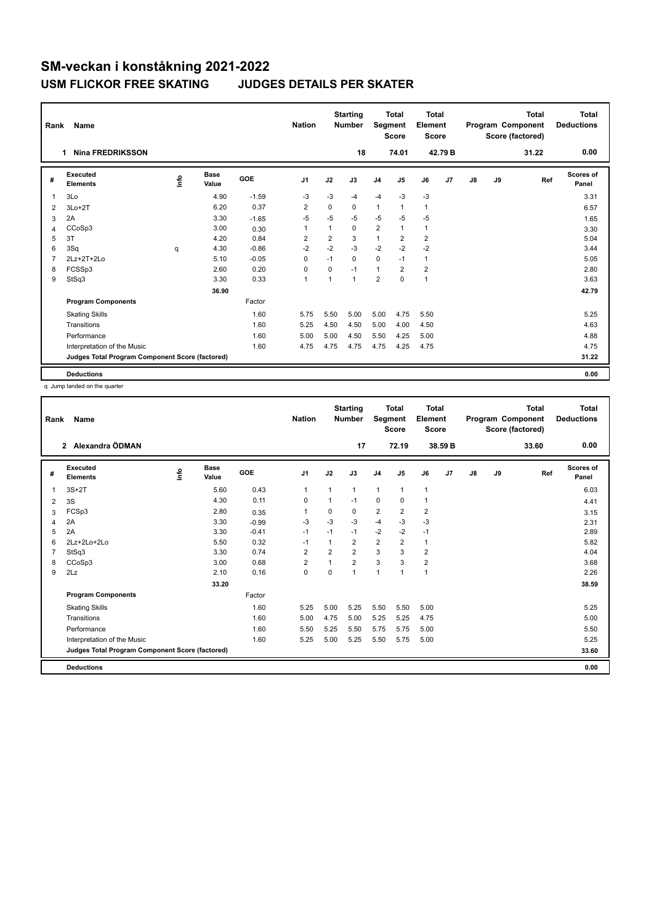| Rank           | Name                                            |      |               |         | <b>Nation</b>  |                | <b>Starting</b><br><b>Number</b> | Segment        | <b>Total</b><br><b>Score</b> | <b>Total</b><br>Element<br>Score |                |    |    | <b>Total</b><br>Program Component<br>Score (factored) | <b>Total</b><br><b>Deductions</b> |
|----------------|-------------------------------------------------|------|---------------|---------|----------------|----------------|----------------------------------|----------------|------------------------------|----------------------------------|----------------|----|----|-------------------------------------------------------|-----------------------------------|
|                | <b>Nina FREDRIKSSON</b><br>1                    |      |               |         |                |                | 18                               |                | 74.01                        |                                  | 42.79 B        |    |    | 31.22                                                 | 0.00                              |
| #              | Executed<br><b>Elements</b>                     | ١nfo | Base<br>Value | GOE     | J <sub>1</sub> | J2             | J3                               | J <sub>4</sub> | J5                           | J6                               | J <sub>7</sub> | J8 | J9 | Ref                                                   | Scores of<br>Panel                |
| $\overline{1}$ | 3Lo                                             |      | 4.90          | $-1.59$ | -3             | $-3$           | $-4$                             | $-4$           | $-3$                         | $-3$                             |                |    |    |                                                       | 3.31                              |
| 2              | $3Lo+2T$                                        |      | 6.20          | 0.37    | $\overline{2}$ | $\Omega$       | 0                                | $\mathbf{1}$   | $\mathbf{1}$                 | $\mathbf{1}$                     |                |    |    |                                                       | 6.57                              |
| 3              | 2A                                              |      | 3.30          | $-1.65$ | $-5$           | $-5$           | $-5$                             | $-5$           | $-5$                         | $-5$                             |                |    |    |                                                       | 1.65                              |
| 4              | CCoSp3                                          |      | 3.00          | 0.30    | 1              | 1              | 0                                | $\overline{2}$ | $\mathbf{1}$                 | $\mathbf{1}$                     |                |    |    |                                                       | 3.30                              |
| 5              | 3T                                              |      | 4.20          | 0.84    | $\overline{2}$ | $\overline{2}$ | 3                                | $\mathbf{1}$   | $\overline{2}$               | $\overline{\mathbf{c}}$          |                |    |    |                                                       | 5.04                              |
| 6              | 3Sq                                             | q    | 4.30          | $-0.86$ | $-2$           | $-2$           | $-3$                             | $-2$           | $-2$                         | $-2$                             |                |    |    |                                                       | 3.44                              |
| $\overline{7}$ | $2Lz+2T+2Lo$                                    |      | 5.10          | $-0.05$ | $\mathbf 0$    | $-1$           | $\Omega$                         | $\mathbf 0$    | $-1$                         | $\mathbf{1}$                     |                |    |    |                                                       | 5.05                              |
| 8              | FCSSp3                                          |      | 2.60          | 0.20    | $\mathbf 0$    | 0              | $-1$                             | $\mathbf{1}$   | $\overline{2}$               | $\overline{\mathbf{c}}$          |                |    |    |                                                       | 2.80                              |
| 9              | StSq3                                           |      | 3.30          | 0.33    | $\mathbf{1}$   | 1              | $\overline{1}$                   | $\overline{2}$ | 0                            | $\mathbf{1}$                     |                |    |    |                                                       | 3.63                              |
|                |                                                 |      | 36.90         |         |                |                |                                  |                |                              |                                  |                |    |    |                                                       | 42.79                             |
|                | <b>Program Components</b>                       |      |               | Factor  |                |                |                                  |                |                              |                                  |                |    |    |                                                       |                                   |
|                | <b>Skating Skills</b>                           |      |               | 1.60    | 5.75           | 5.50           | 5.00                             | 5.00           | 4.75                         | 5.50                             |                |    |    |                                                       | 5.25                              |
|                | Transitions                                     |      |               | 1.60    | 5.25           | 4.50           | 4.50                             | 5.00           | 4.00                         | 4.50                             |                |    |    |                                                       | 4.63                              |
|                | Performance                                     |      |               | 1.60    | 5.00           | 5.00           | 4.50                             | 5.50           | 4.25                         | 5.00                             |                |    |    |                                                       | 4.88                              |
|                | Interpretation of the Music                     |      |               | 1.60    | 4.75           | 4.75           | 4.75                             | 4.75           | 4.25                         | 4.75                             |                |    |    |                                                       | 4.75                              |
|                | Judges Total Program Component Score (factored) |      |               |         |                |                |                                  |                |                              |                                  |                |    |    |                                                       | 31.22                             |
|                | <b>Deductions</b>                               |      |               |         |                |                |                                  |                |                              |                                  |                |    |    |                                                       | 0.00                              |

q Jump landed on the quarter

| Rank | Name                                            |   |                      |         | <b>Nation</b>  |      | <b>Starting</b><br><b>Number</b> | Segment        | <b>Total</b><br><b>Score</b> | <b>Total</b><br>Element<br><b>Score</b> |         |               |    | <b>Total</b><br>Program Component<br>Score (factored) | <b>Total</b><br><b>Deductions</b> |
|------|-------------------------------------------------|---|----------------------|---------|----------------|------|----------------------------------|----------------|------------------------------|-----------------------------------------|---------|---------------|----|-------------------------------------------------------|-----------------------------------|
|      | Alexandra ÖDMAN<br>$\overline{2}$               |   |                      |         |                |      | 17                               |                | 72.19                        |                                         | 38.59 B |               |    | 33.60                                                 | 0.00                              |
| #    | Executed<br><b>Elements</b>                     | ۴ | <b>Base</b><br>Value | GOE     | J <sub>1</sub> | J2   | J3                               | J <sub>4</sub> | J5                           | J6                                      | J7      | $\mathsf{J}8$ | J9 | Ref                                                   | Scores of<br>Panel                |
| 1    | $3S+2T$                                         |   | 5.60                 | 0.43    | 1              | 1    | 1                                | $\mathbf{1}$   | $\mathbf{1}$                 | $\mathbf{1}$                            |         |               |    |                                                       | 6.03                              |
| 2    | 3S                                              |   | 4.30                 | 0.11    | 0              | 1    | $-1$                             | 0              | 0                            | 1                                       |         |               |    |                                                       | 4.41                              |
| 3    | FCSp3                                           |   | 2.80                 | 0.35    | 1              | 0    | $\Omega$                         | 2              | $\overline{2}$               | 2                                       |         |               |    |                                                       | 3.15                              |
| 4    | 2A                                              |   | 3.30                 | $-0.99$ | -3             | $-3$ | $-3$                             | $-4$           | $-3$                         | $-3$                                    |         |               |    |                                                       | 2.31                              |
| 5    | 2A                                              |   | 3.30                 | $-0.41$ | $-1$           | $-1$ | $-1$                             | $-2$           | $-2$                         | $-1$                                    |         |               |    |                                                       | 2.89                              |
| 6    | 2Lz+2Lo+2Lo                                     |   | 5.50                 | 0.32    | $-1$           | 1    | $\overline{2}$                   | $\overline{2}$ | $\overline{2}$               | $\mathbf{1}$                            |         |               |    |                                                       | 5.82                              |
|      | StSq3                                           |   | 3.30                 | 0.74    | $\overline{2}$ | 2    | $\overline{2}$                   | 3              | 3                            | 2                                       |         |               |    |                                                       | 4.04                              |
| 8    | CCoSp3                                          |   | 3.00                 | 0.68    | $\overline{2}$ | 1    | $\overline{2}$                   | 3              | 3                            | $\overline{\mathbf{c}}$                 |         |               |    |                                                       | 3.68                              |
| 9    | 2Lz                                             |   | 2.10                 | 0.16    | $\mathbf 0$    | 0    | 1                                | 1              |                              | $\mathbf{1}$                            |         |               |    |                                                       | 2.26                              |
|      |                                                 |   | 33.20                |         |                |      |                                  |                |                              |                                         |         |               |    |                                                       | 38.59                             |
|      | <b>Program Components</b>                       |   |                      | Factor  |                |      |                                  |                |                              |                                         |         |               |    |                                                       |                                   |
|      | <b>Skating Skills</b>                           |   |                      | 1.60    | 5.25           | 5.00 | 5.25                             | 5.50           | 5.50                         | 5.00                                    |         |               |    |                                                       | 5.25                              |
|      | Transitions                                     |   |                      | 1.60    | 5.00           | 4.75 | 5.00                             | 5.25           | 5.25                         | 4.75                                    |         |               |    |                                                       | 5.00                              |
|      | Performance                                     |   |                      | 1.60    | 5.50           | 5.25 | 5.50                             | 5.75           | 5.75                         | 5.00                                    |         |               |    |                                                       | 5.50                              |
|      | Interpretation of the Music                     |   |                      | 1.60    | 5.25           | 5.00 | 5.25                             | 5.50           | 5.75                         | 5.00                                    |         |               |    |                                                       | 5.25                              |
|      | Judges Total Program Component Score (factored) |   |                      |         |                |      |                                  |                |                              |                                         |         |               |    |                                                       | 33.60                             |
|      | <b>Deductions</b>                               |   |                      |         |                |      |                                  |                |                              |                                         |         |               |    |                                                       | 0.00                              |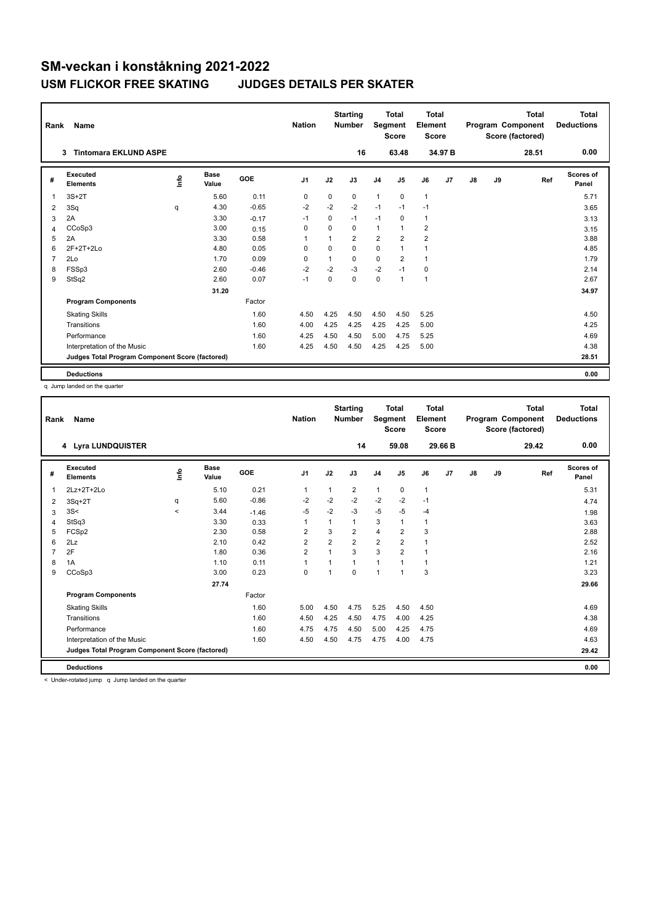| Rank           | Name                                            |             |                      |            | <b>Nation</b>  |                | <b>Starting</b><br><b>Number</b> | Segment        | <b>Total</b><br><b>Score</b> | Total<br>Element<br>Score |                |               |    | <b>Total</b><br>Program Component<br>Score (factored) | Total<br><b>Deductions</b> |
|----------------|-------------------------------------------------|-------------|----------------------|------------|----------------|----------------|----------------------------------|----------------|------------------------------|---------------------------|----------------|---------------|----|-------------------------------------------------------|----------------------------|
|                | <b>Tintomara EKLUND ASPE</b><br>3               |             |                      |            |                |                | 16                               |                | 63.48                        |                           | 34.97 B        |               |    | 28.51                                                 | 0.00                       |
| #              | Executed<br><b>Elements</b>                     | <u>info</u> | <b>Base</b><br>Value | <b>GOE</b> | J <sub>1</sub> | J2             | J3                               | J <sub>4</sub> | J <sub>5</sub>               | J6                        | J <sub>7</sub> | $\mathsf{J}8$ | J9 | Ref                                                   | Scores of<br>Panel         |
| $\overline{1}$ | $3S+2T$                                         |             | 5.60                 | 0.11       | 0              | $\mathbf 0$    | 0                                | $\mathbf{1}$   | $\Omega$                     | $\mathbf{1}$              |                |               |    |                                                       | 5.71                       |
| 2              | 3Sq                                             | q           | 4.30                 | $-0.65$    | $-2$           | $-2$           | $-2$                             | $-1$           | $-1$                         | $-1$                      |                |               |    |                                                       | 3.65                       |
| 3              | 2A                                              |             | 3.30                 | $-0.17$    | $-1$           | 0              | $-1$                             | $-1$           | 0                            | $\mathbf{1}$              |                |               |    |                                                       | 3.13                       |
| 4              | CCoSp3                                          |             | 3.00                 | 0.15       | 0              | $\Omega$       | 0                                | $\mathbf{1}$   | $\mathbf{1}$                 | 2                         |                |               |    |                                                       | 3.15                       |
| 5              | 2A                                              |             | 3.30                 | 0.58       |                | $\overline{1}$ | $\overline{2}$                   | $\overline{2}$ | $\overline{2}$               | $\overline{2}$            |                |               |    |                                                       | 3.88                       |
| 6              | 2F+2T+2Lo                                       |             | 4.80                 | 0.05       | $\Omega$       | $\Omega$       | 0                                | 0              | $\mathbf{1}$                 | 1                         |                |               |    |                                                       | 4.85                       |
| $\overline{7}$ | 2Lo                                             |             | 1.70                 | 0.09       | 0              | 1              | 0                                | $\mathbf 0$    | $\overline{2}$               | 1                         |                |               |    |                                                       | 1.79                       |
| 8              | FSSp3                                           |             | 2.60                 | $-0.46$    | $-2$           | $-2$           | $-3$                             | $-2$           | $-1$                         | $\mathbf 0$               |                |               |    |                                                       | 2.14                       |
| 9              | StSq2                                           |             | 2.60                 | 0.07       | $-1$           | 0              | 0                                | $\mathbf 0$    | $\mathbf{1}$                 | 1                         |                |               |    |                                                       | 2.67                       |
|                |                                                 |             | 31.20                |            |                |                |                                  |                |                              |                           |                |               |    |                                                       | 34.97                      |
|                | <b>Program Components</b>                       |             |                      | Factor     |                |                |                                  |                |                              |                           |                |               |    |                                                       |                            |
|                | <b>Skating Skills</b>                           |             |                      | 1.60       | 4.50           | 4.25           | 4.50                             | 4.50           | 4.50                         | 5.25                      |                |               |    |                                                       | 4.50                       |
|                | Transitions                                     |             |                      | 1.60       | 4.00           | 4.25           | 4.25                             | 4.25           | 4.25                         | 5.00                      |                |               |    |                                                       | 4.25                       |
|                | Performance                                     |             |                      | 1.60       | 4.25           | 4.50           | 4.50                             | 5.00           | 4.75                         | 5.25                      |                |               |    |                                                       | 4.69                       |
|                | Interpretation of the Music                     |             |                      | 1.60       | 4.25           | 4.50           | 4.50                             | 4.25           | 4.25                         | 5.00                      |                |               |    |                                                       | 4.38                       |
|                | Judges Total Program Component Score (factored) |             |                      |            |                |                |                                  |                |                              |                           |                |               |    |                                                       | 28.51                      |
|                | <b>Deductions</b>                               |             |                      |            |                |                |                                  |                |                              |                           |                |               |    |                                                       | 0.00                       |

q Jump landed on the quarter

| Rank | Name                                            |         |                      |         | <b>Nation</b>           |                      | <b>Starting</b><br><b>Number</b> | Segment        | <b>Total</b><br><b>Score</b> | <b>Total</b><br>Element<br><b>Score</b> |                |               |    | <b>Total</b><br>Program Component<br>Score (factored) | <b>Total</b><br><b>Deductions</b> |
|------|-------------------------------------------------|---------|----------------------|---------|-------------------------|----------------------|----------------------------------|----------------|------------------------------|-----------------------------------------|----------------|---------------|----|-------------------------------------------------------|-----------------------------------|
|      | 4 Lyra LUNDQUISTER                              |         |                      |         |                         |                      | 14                               |                | 59.08                        |                                         | 29.66 B        |               |    | 29.42                                                 | 0.00                              |
| #    | Executed<br><b>Elements</b>                     | ۴       | <b>Base</b><br>Value | GOE     | J <sub>1</sub>          | J2                   | J3                               | J <sub>4</sub> | J <sub>5</sub>               | J6                                      | J <sub>7</sub> | $\mathsf{J}8$ | J9 | Ref                                                   | <b>Scores of</b><br>Panel         |
| 1    | $2Lz+2T+2Lo$                                    |         | 5.10                 | 0.21    | 1                       |                      | 2                                | $\mathbf{1}$   | 0                            | $\mathbf{1}$                            |                |               |    |                                                       | 5.31                              |
| 2    | $3Sq+2T$                                        | q       | 5.60                 | $-0.86$ | $-2$                    | $-2$                 | $-2$                             | $-2$           | $-2$                         | $-1$                                    |                |               |    |                                                       | 4.74                              |
| 3    | 3S<                                             | $\prec$ | 3.44                 | $-1.46$ | $-5$                    | $-2$                 | $-3$                             | $-5$           | $-5$                         | $-4$                                    |                |               |    |                                                       | 1.98                              |
| 4    | StSq3                                           |         | 3.30                 | 0.33    | 1                       |                      | 1                                | 3              | 1                            | $\mathbf{1}$                            |                |               |    |                                                       | 3.63                              |
| 5    | FCSp2                                           |         | 2.30                 | 0.58    | $\overline{\mathbf{c}}$ | 3                    | $\overline{2}$                   | $\overline{4}$ | $\overline{2}$               | 3                                       |                |               |    |                                                       | 2.88                              |
| 6    | 2Lz                                             |         | 2.10                 | 0.42    | $\overline{\mathbf{c}}$ | $\overline{2}$       | $\overline{2}$                   | $\overline{2}$ | $\overline{\mathbf{c}}$      | 1                                       |                |               |    |                                                       | 2.52                              |
|      | 2F                                              |         | 1.80                 | 0.36    | $\overline{2}$          |                      | 3                                | 3              | $\overline{2}$               | $\mathbf{1}$                            |                |               |    |                                                       | 2.16                              |
| 8    | 1A                                              |         | 1.10                 | 0.11    | $\mathbf{1}$            |                      | 1                                | $\mathbf{1}$   | 1                            | $\mathbf{1}$                            |                |               |    |                                                       | 1.21                              |
| 9    | CCoSp3                                          |         | 3.00                 | 0.23    | $\mathbf 0$             | $\blacktriangleleft$ | 0                                | $\overline{1}$ | $\overline{1}$               | 3                                       |                |               |    |                                                       | 3.23                              |
|      |                                                 |         | 27.74                |         |                         |                      |                                  |                |                              |                                         |                |               |    |                                                       | 29.66                             |
|      | <b>Program Components</b>                       |         |                      | Factor  |                         |                      |                                  |                |                              |                                         |                |               |    |                                                       |                                   |
|      | <b>Skating Skills</b>                           |         |                      | 1.60    | 5.00                    | 4.50                 | 4.75                             | 5.25           | 4.50                         | 4.50                                    |                |               |    |                                                       | 4.69                              |
|      | Transitions                                     |         |                      | 1.60    | 4.50                    | 4.25                 | 4.50                             | 4.75           | 4.00                         | 4.25                                    |                |               |    |                                                       | 4.38                              |
|      | Performance                                     |         |                      | 1.60    | 4.75                    | 4.75                 | 4.50                             | 5.00           | 4.25                         | 4.75                                    |                |               |    |                                                       | 4.69                              |
|      | Interpretation of the Music                     |         |                      | 1.60    | 4.50                    | 4.50                 | 4.75                             | 4.75           | 4.00                         | 4.75                                    |                |               |    |                                                       | 4.63                              |
|      | Judges Total Program Component Score (factored) |         |                      |         |                         |                      |                                  |                |                              |                                         |                |               |    |                                                       | 29.42                             |
|      | <b>Deductions</b>                               |         |                      |         |                         |                      |                                  |                |                              |                                         |                |               |    |                                                       | 0.00                              |

< Under-rotated jump q Jump landed on the quarter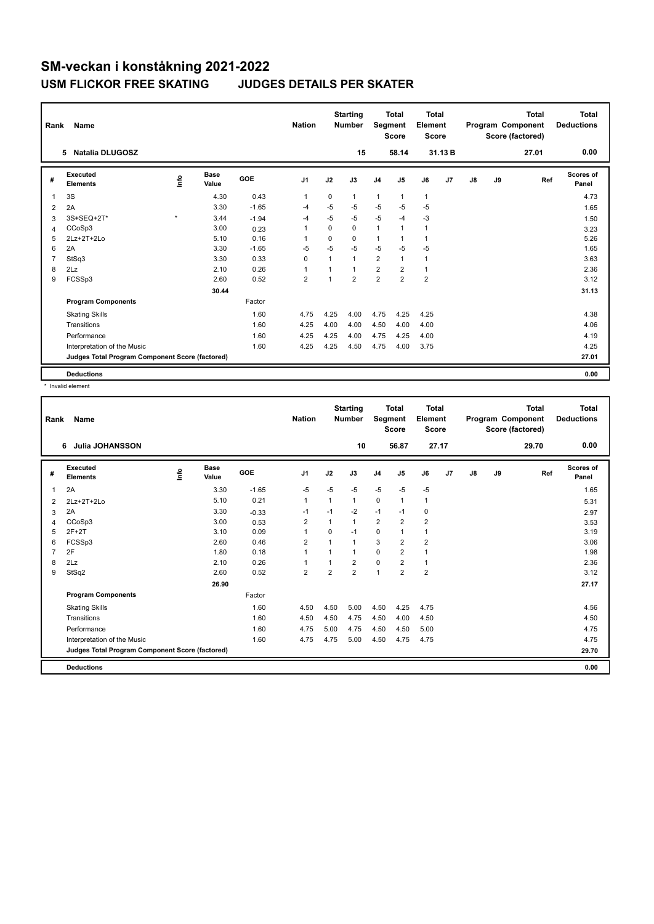| Rank           | Name                                            |           | <b>Nation</b> |            | <b>Starting</b><br><b>Number</b> | Segment     | Total<br><b>Score</b> | Total<br>Element<br><b>Score</b> |                |                         |                | <b>Total</b><br>Program Component<br>Score (factored) | Total<br><b>Deductions</b> |       |                    |
|----------------|-------------------------------------------------|-----------|---------------|------------|----------------------------------|-------------|-----------------------|----------------------------------|----------------|-------------------------|----------------|-------------------------------------------------------|----------------------------|-------|--------------------|
|                | <b>Natalia DLUGOSZ</b><br>5                     |           |               |            |                                  |             | 15                    |                                  | 58.14          |                         | 31.13B         |                                                       |                            | 27.01 | 0.00               |
| #              | Executed<br><b>Elements</b>                     | ١nfo      | Base<br>Value | <b>GOE</b> | J <sub>1</sub>                   | J2          | J3                    | J <sub>4</sub>                   | J <sub>5</sub> | J6                      | J <sub>7</sub> | J8                                                    | J9                         | Ref   | Scores of<br>Panel |
| $\overline{1}$ | 3S                                              |           | 4.30          | 0.43       | $\overline{1}$                   | $\mathbf 0$ | 1                     | $\mathbf{1}$                     | $\mathbf{1}$   | $\mathbf{1}$            |                |                                                       |                            |       | 4.73               |
| 2              | 2A                                              |           | 3.30          | $-1.65$    | -4                               | $-5$        | $-5$                  | $-5$                             | $-5$           | $-5$                    |                |                                                       |                            |       | 1.65               |
| 3              | 3S+SEQ+2T*                                      | $\bullet$ | 3.44          | $-1.94$    | -4                               | $-5$        | $-5$                  | $-5$                             | $-4$           | $-3$                    |                |                                                       |                            |       | 1.50               |
| $\overline{4}$ | CCoSp3                                          |           | 3.00          | 0.23       | $\mathbf{1}$                     | $\Omega$    | 0                     | $\mathbf{1}$                     | $\mathbf{1}$   | $\mathbf{1}$            |                |                                                       |                            |       | 3.23               |
| 5              | $2Lz+2T+2L0$                                    |           | 5.10          | 0.16       | -1                               | $\Omega$    | $\Omega$              | $\mathbf{1}$                     | 1              | 1                       |                |                                                       |                            |       | 5.26               |
| 6              | 2A                                              |           | 3.30          | $-1.65$    | $-5$                             | $-5$        | $-5$                  | $-5$                             | $-5$           | $-5$                    |                |                                                       |                            |       | 1.65               |
| $\overline{7}$ | StSq3                                           |           | 3.30          | 0.33       | $\mathbf 0$                      | 1           | 1                     | $\overline{2}$                   | $\mathbf{1}$   | $\mathbf{1}$            |                |                                                       |                            |       | 3.63               |
| 8              | 2Lz                                             |           | 2.10          | 0.26       | 1                                |             | 1                     | $\overline{2}$                   | $\overline{2}$ | $\mathbf{1}$            |                |                                                       |                            |       | 2.36               |
| 9              | FCSSp3                                          |           | 2.60          | 0.52       | $\overline{2}$                   |             | $\overline{2}$        | $\overline{2}$                   | $\overline{2}$ | $\overline{\mathbf{c}}$ |                |                                                       |                            |       | 3.12               |
|                |                                                 |           | 30.44         |            |                                  |             |                       |                                  |                |                         |                |                                                       |                            |       | 31.13              |
|                | <b>Program Components</b>                       |           |               | Factor     |                                  |             |                       |                                  |                |                         |                |                                                       |                            |       |                    |
|                | <b>Skating Skills</b>                           |           |               | 1.60       | 4.75                             | 4.25        | 4.00                  | 4.75                             | 4.25           | 4.25                    |                |                                                       |                            |       | 4.38               |
|                | Transitions                                     |           |               | 1.60       | 4.25                             | 4.00        | 4.00                  | 4.50                             | 4.00           | 4.00                    |                |                                                       |                            |       | 4.06               |
|                | Performance                                     |           |               | 1.60       | 4.25                             | 4.25        | 4.00                  | 4.75                             | 4.25           | 4.00                    |                |                                                       |                            |       | 4.19               |
|                | Interpretation of the Music                     |           |               | 1.60       | 4.25                             | 4.25        | 4.50                  | 4.75                             | 4.00           | 3.75                    |                |                                                       |                            |       | 4.25               |
|                | Judges Total Program Component Score (factored) |           |               |            |                                  |             |                       |                                  |                |                         |                |                                                       |                            |       | 27.01              |
|                | <b>Deductions</b>                               |           |               |            |                                  |             |                       |                                  |                |                         |                |                                                       |                            |       | 0.00               |

\* Invalid element

| Rank | Name                                            |   |                      |         | <b>Nation</b>  |                | <b>Starting</b><br><b>Number</b> |                | <b>Total</b><br>Segment<br><b>Score</b> | <b>Total</b><br>Element<br><b>Score</b> |    |               |    | <b>Total</b><br>Program Component<br>Score (factored) | <b>Total</b><br><b>Deductions</b> |
|------|-------------------------------------------------|---|----------------------|---------|----------------|----------------|----------------------------------|----------------|-----------------------------------------|-----------------------------------------|----|---------------|----|-------------------------------------------------------|-----------------------------------|
|      | Julia JOHANSSON<br>6                            |   |                      |         |                |                | 10                               |                | 56.87                                   | 27.17                                   |    |               |    | 29.70                                                 | 0.00                              |
| #    | Executed<br><b>Elements</b>                     | ۴ | <b>Base</b><br>Value | GOE     | J <sub>1</sub> | J2             | J3                               | J <sub>4</sub> | J <sub>5</sub>                          | J6                                      | J7 | $\mathsf{J}8$ | J9 | Ref                                                   | Scores of<br>Panel                |
| 1    | 2A                                              |   | 3.30                 | $-1.65$ | $-5$           | $-5$           | $-5$                             | $-5$           | $-5$                                    | $-5$                                    |    |               |    |                                                       | 1.65                              |
| 2    | 2Lz+2T+2Lo                                      |   | 5.10                 | 0.21    | 1              | $\mathbf{1}$   | $\mathbf{1}$                     | $\mathbf 0$    | $\mathbf{1}$                            | $\mathbf{1}$                            |    |               |    |                                                       | 5.31                              |
| 3    | 2A                                              |   | 3.30                 | $-0.33$ | $-1$           | $-1$           | $-2$                             | $-1$           | $-1$                                    | 0                                       |    |               |    |                                                       | 2.97                              |
| 4    | CCoSp3                                          |   | 3.00                 | 0.53    | 2              | 1              | $\mathbf{1}$                     | $\overline{2}$ | $\overline{2}$                          | $\overline{2}$                          |    |               |    |                                                       | 3.53                              |
| 5    | $2F+2T$                                         |   | 3.10                 | 0.09    | 1              | $\mathbf 0$    | $-1$                             | $\mathbf 0$    | 1                                       | $\mathbf{1}$                            |    |               |    |                                                       | 3.19                              |
| 6    | FCSSp3                                          |   | 2.60                 | 0.46    | $\overline{2}$ | $\mathbf 1$    | $\mathbf{1}$                     | 3              | $\overline{2}$                          | $\overline{2}$                          |    |               |    |                                                       | 3.06                              |
| 7    | 2F                                              |   | 1.80                 | 0.18    | 1              |                | $\mathbf{1}$                     | $\Omega$       | $\overline{2}$                          | 1                                       |    |               |    |                                                       | 1.98                              |
| 8    | 2Lz                                             |   | 2.10                 | 0.26    | 1              |                | $\overline{2}$                   | $\mathbf 0$    | $\overline{2}$                          | 1                                       |    |               |    |                                                       | 2.36                              |
| 9    | StSq2                                           |   | 2.60                 | 0.52    | $\overline{2}$ | $\overline{2}$ | $\overline{2}$                   | $\overline{1}$ | $\overline{2}$                          | $\overline{2}$                          |    |               |    |                                                       | 3.12                              |
|      |                                                 |   | 26.90                |         |                |                |                                  |                |                                         |                                         |    |               |    |                                                       | 27.17                             |
|      | <b>Program Components</b>                       |   |                      | Factor  |                |                |                                  |                |                                         |                                         |    |               |    |                                                       |                                   |
|      | <b>Skating Skills</b>                           |   |                      | 1.60    | 4.50           | 4.50           | 5.00                             | 4.50           | 4.25                                    | 4.75                                    |    |               |    |                                                       | 4.56                              |
|      | Transitions                                     |   |                      | 1.60    | 4.50           | 4.50           | 4.75                             | 4.50           | 4.00                                    | 4.50                                    |    |               |    |                                                       | 4.50                              |
|      | Performance                                     |   |                      | 1.60    | 4.75           | 5.00           | 4.75                             | 4.50           | 4.50                                    | 5.00                                    |    |               |    |                                                       | 4.75                              |
|      | Interpretation of the Music                     |   |                      | 1.60    | 4.75           | 4.75           | 5.00                             | 4.50           | 4.75                                    | 4.75                                    |    |               |    |                                                       | 4.75                              |
|      | Judges Total Program Component Score (factored) |   |                      |         |                |                |                                  |                |                                         |                                         |    |               |    |                                                       | 29.70                             |
|      | <b>Deductions</b>                               |   |                      |         |                |                |                                  |                |                                         |                                         |    |               |    |                                                       | 0.00                              |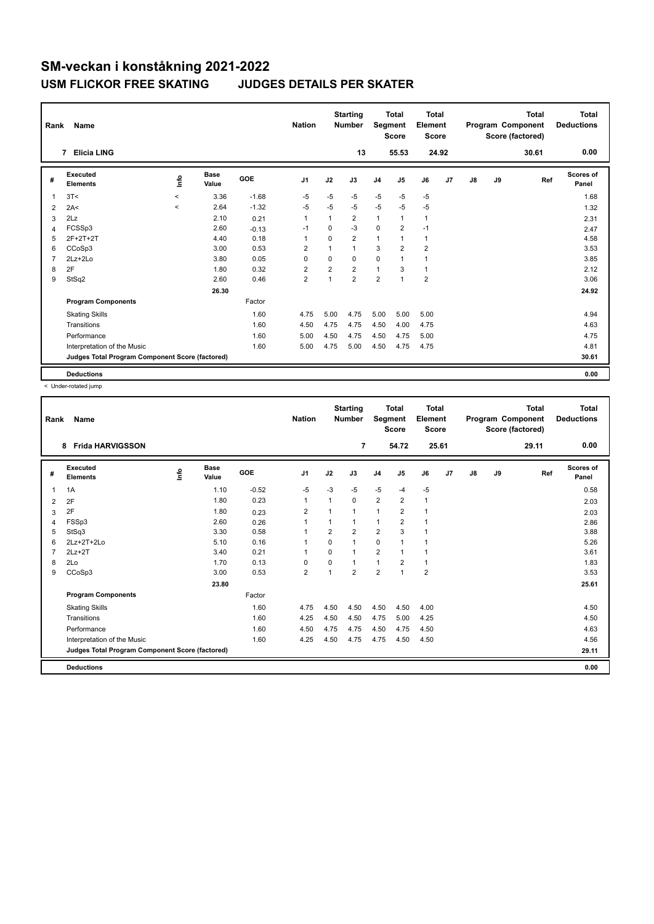| Rank           | Name                                            | <b>Nation</b> |               | <b>Starting</b><br><b>Number</b> | Segment        | <b>Total</b><br><b>Score</b> | <b>Total</b><br>Element<br><b>Score</b> |                |                |                         | <b>Total</b><br>Program Component<br>Score (factored) | <b>Total</b><br><b>Deductions</b> |    |       |                    |
|----------------|-------------------------------------------------|---------------|---------------|----------------------------------|----------------|------------------------------|-----------------------------------------|----------------|----------------|-------------------------|-------------------------------------------------------|-----------------------------------|----|-------|--------------------|
|                | <b>Elicia LING</b><br>7                         |               |               |                                  |                |                              | 13                                      |                | 55.53          | 24.92                   |                                                       |                                   |    | 30.61 | 0.00               |
| #              | Executed<br><b>Elements</b>                     | <u>info</u>   | Base<br>Value | <b>GOE</b>                       | J <sub>1</sub> | J2                           | J3                                      | J <sub>4</sub> | J5             | J6                      | J <sub>7</sub>                                        | J8                                | J9 | Ref   | Scores of<br>Panel |
| $\overline{1}$ | 3T<                                             | $\prec$       | 3.36          | $-1.68$                          | $-5$           | $-5$                         | $-5$                                    | $-5$           | $-5$           | $-5$                    |                                                       |                                   |    |       | 1.68               |
| 2              | 2A<                                             | $\prec$       | 2.64          | $-1.32$                          | $-5$           | $-5$                         | $-5$                                    | $-5$           | $-5$           | $-5$                    |                                                       |                                   |    |       | 1.32               |
| 3              | 2Lz                                             |               | 2.10          | 0.21                             | $\mathbf{1}$   | 1                            | $\overline{2}$                          | $\mathbf{1}$   | 1              | $\mathbf{1}$            |                                                       |                                   |    |       | 2.31               |
| $\overline{4}$ | FCSSp3                                          |               | 2.60          | $-0.13$                          | $-1$           | $\mathbf 0$                  | $-3$                                    | $\mathbf 0$    | $\overline{2}$ | $-1$                    |                                                       |                                   |    |       | 2.47               |
| 5              | 2F+2T+2T                                        |               | 4.40          | 0.18                             | -1             | $\Omega$                     | $\overline{2}$                          | $\mathbf{1}$   | 1              | $\mathbf{1}$            |                                                       |                                   |    |       | 4.58               |
| 6              | CCoSp3                                          |               | 3.00          | 0.53                             | $\overline{2}$ | $\overline{1}$               | $\overline{1}$                          | 3              | $\overline{2}$ | $\overline{\mathbf{c}}$ |                                                       |                                   |    |       | 3.53               |
| $\overline{7}$ | $2Lz+2Lo$                                       |               | 3.80          | 0.05                             | $\mathbf 0$    | $\Omega$                     | $\Omega$                                | $\Omega$       | 1              | 1                       |                                                       |                                   |    |       | 3.85               |
| 8              | 2F                                              |               | 1.80          | 0.32                             | $\overline{2}$ | $\overline{2}$               | $\overline{2}$                          | $\mathbf{1}$   | 3              | $\mathbf{1}$            |                                                       |                                   |    |       | 2.12               |
| 9              | StSq2                                           |               | 2.60          | 0.46                             | $\overline{2}$ | 1                            | $\overline{\mathbf{c}}$                 | $\overline{2}$ | $\overline{ }$ | $\overline{\mathbf{c}}$ |                                                       |                                   |    |       | 3.06               |
|                |                                                 |               | 26.30         |                                  |                |                              |                                         |                |                |                         |                                                       |                                   |    |       | 24.92              |
|                | <b>Program Components</b>                       |               |               | Factor                           |                |                              |                                         |                |                |                         |                                                       |                                   |    |       |                    |
|                | <b>Skating Skills</b>                           |               |               | 1.60                             | 4.75           | 5.00                         | 4.75                                    | 5.00           | 5.00           | 5.00                    |                                                       |                                   |    |       | 4.94               |
|                | Transitions                                     |               |               | 1.60                             | 4.50           | 4.75                         | 4.75                                    | 4.50           | 4.00           | 4.75                    |                                                       |                                   |    |       | 4.63               |
|                | Performance                                     |               |               | 1.60                             | 5.00           | 4.50                         | 4.75                                    | 4.50           | 4.75           | 5.00                    |                                                       |                                   |    |       | 4.75               |
|                | Interpretation of the Music                     |               |               | 1.60                             | 5.00           | 4.75                         | 5.00                                    | 4.50           | 4.75           | 4.75                    |                                                       |                                   |    |       | 4.81               |
|                | Judges Total Program Component Score (factored) |               |               |                                  |                |                              |                                         |                |                |                         |                                                       |                                   |    |       | 30.61              |
|                | <b>Deductions</b>                               |               |               |                                  |                |                              |                                         |                |                |                         |                                                       |                                   |    |       | 0.00               |

< Under-rotated jump

| Rank | Name                                            |   |                      |         | <b>Nation</b>  |                | <b>Starting</b><br><b>Number</b> | Segment        | <b>Total</b><br><b>Score</b> | Total<br>Element<br><b>Score</b> |    |               |    | <b>Total</b><br>Program Component<br>Score (factored) | <b>Total</b><br><b>Deductions</b> |
|------|-------------------------------------------------|---|----------------------|---------|----------------|----------------|----------------------------------|----------------|------------------------------|----------------------------------|----|---------------|----|-------------------------------------------------------|-----------------------------------|
|      | <b>Frida HARVIGSSON</b><br>8                    |   |                      |         |                |                | 7                                |                | 54.72                        | 25.61                            |    |               |    | 29.11                                                 | 0.00                              |
| #    | Executed<br><b>Elements</b>                     | ۴ | <b>Base</b><br>Value | GOE     | J <sub>1</sub> | J2             | J3                               | J <sub>4</sub> | J <sub>5</sub>               | J6                               | J7 | $\mathsf{J}8$ | J9 | Ref                                                   | Scores of<br>Panel                |
| 1    | 1A                                              |   | 1.10                 | $-0.52$ | -5             | $-3$           | $-5$                             | $-5$           | $-4$                         | $-5$                             |    |               |    |                                                       | 0.58                              |
| 2    | 2F                                              |   | 1.80                 | 0.23    | 1              | 1              | $\Omega$                         | 2              | $\overline{2}$               | 1                                |    |               |    |                                                       | 2.03                              |
| 3    | 2F                                              |   | 1.80                 | 0.23    | $\overline{2}$ | 1              | 1                                | 1              | 2                            | $\mathbf 1$                      |    |               |    |                                                       | 2.03                              |
| 4    | FSSp3                                           |   | 2.60                 | 0.26    | 1              | 1              | 1                                | 1              | $\overline{2}$               | 1                                |    |               |    |                                                       | 2.86                              |
| 5    | StSq3                                           |   | 3.30                 | 0.58    | 1              | $\overline{2}$ | $\overline{2}$                   | $\overline{2}$ | 3                            | 1                                |    |               |    |                                                       | 3.88                              |
| 6    | $2Lz+2T+2Lo$                                    |   | 5.10                 | 0.16    |                | $\Omega$       | 1                                | $\mathbf 0$    |                              | 1                                |    |               |    |                                                       | 5.26                              |
|      | $2Lz + 2T$                                      |   | 3.40                 | 0.21    |                | $\Omega$       | 1                                | $\overline{2}$ |                              | 1                                |    |               |    |                                                       | 3.61                              |
| 8    | 2Lo                                             |   | 1.70                 | 0.13    | 0              | $\Omega$       | 1                                | 1              | 2                            | $\mathbf{1}$                     |    |               |    |                                                       | 1.83                              |
| 9    | CCoSp3                                          |   | 3.00                 | 0.53    | $\overline{2}$ | 1              | $\overline{2}$                   | $\overline{2}$ |                              | $\overline{2}$                   |    |               |    |                                                       | 3.53                              |
|      |                                                 |   | 23.80                |         |                |                |                                  |                |                              |                                  |    |               |    |                                                       | 25.61                             |
|      | <b>Program Components</b>                       |   |                      | Factor  |                |                |                                  |                |                              |                                  |    |               |    |                                                       |                                   |
|      | <b>Skating Skills</b>                           |   |                      | 1.60    | 4.75           | 4.50           | 4.50                             | 4.50           | 4.50                         | 4.00                             |    |               |    |                                                       | 4.50                              |
|      | Transitions                                     |   |                      | 1.60    | 4.25           | 4.50           | 4.50                             | 4.75           | 5.00                         | 4.25                             |    |               |    |                                                       | 4.50                              |
|      | Performance                                     |   |                      | 1.60    | 4.50           | 4.75           | 4.75                             | 4.50           | 4.75                         | 4.50                             |    |               |    |                                                       | 4.63                              |
|      | Interpretation of the Music                     |   |                      | 1.60    | 4.25           | 4.50           | 4.75                             | 4.75           | 4.50                         | 4.50                             |    |               |    |                                                       | 4.56                              |
|      | Judges Total Program Component Score (factored) |   |                      |         |                |                |                                  |                |                              |                                  |    |               |    |                                                       | 29.11                             |
|      | <b>Deductions</b>                               |   |                      |         |                |                |                                  |                |                              |                                  |    |               |    |                                                       | 0.00                              |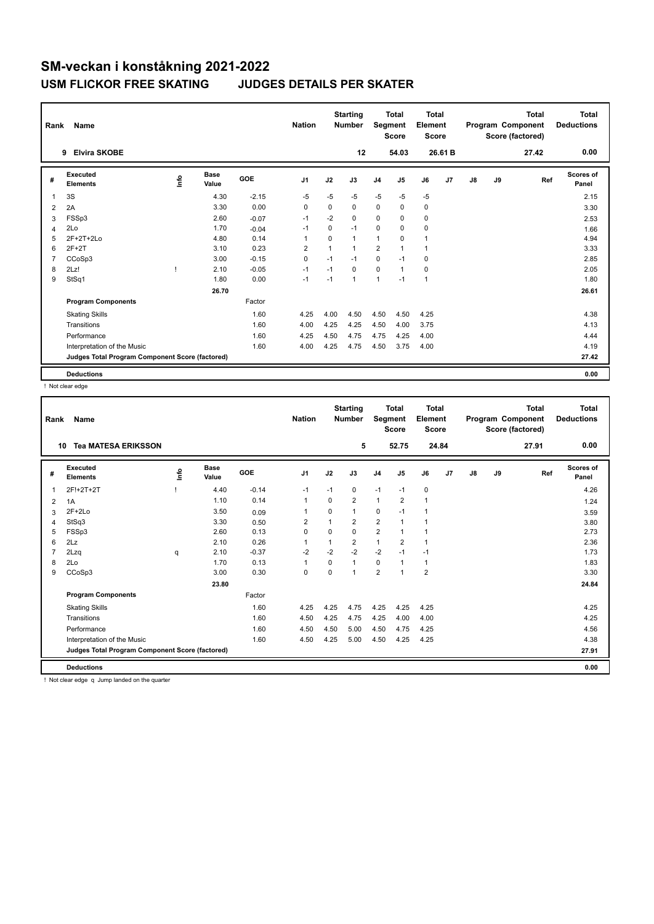| Rank           | Name                                            | <b>Nation</b> |               | <b>Starting</b><br><b>Number</b> | Segment        | <b>Total</b><br><b>Score</b> | <b>Total</b><br>Element<br><b>Score</b> |                |              |              | <b>Total</b><br>Program Component<br>Score (factored) | <b>Total</b><br><b>Deductions</b> |    |       |                    |
|----------------|-------------------------------------------------|---------------|---------------|----------------------------------|----------------|------------------------------|-----------------------------------------|----------------|--------------|--------------|-------------------------------------------------------|-----------------------------------|----|-------|--------------------|
|                | <b>Elvira SKOBE</b><br>9                        |               |               |                                  |                |                              | 12                                      |                | 54.03        |              | 26.61 B                                               |                                   |    | 27.42 | 0.00               |
| #              | Executed<br><b>Elements</b>                     | ١nfo          | Base<br>Value | <b>GOE</b>                       | J <sub>1</sub> | J2                           | J3                                      | J <sub>4</sub> | J5           | J6           | J <sub>7</sub>                                        | J8                                | J9 | Ref   | Scores of<br>Panel |
| $\overline{1}$ | 3S                                              |               | 4.30          | $-2.15$                          | $-5$           | $-5$                         | $-5$                                    | $-5$           | $-5$         | $-5$         |                                                       |                                   |    |       | 2.15               |
| 2              | 2A                                              |               | 3.30          | 0.00                             | 0              | $\Omega$                     | 0                                       | $\mathbf 0$    | $\mathbf 0$  | 0            |                                                       |                                   |    |       | 3.30               |
| 3              | FSSp3                                           |               | 2.60          | $-0.07$                          | $-1$           | $-2$                         | 0                                       | $\Omega$       | $\Omega$     | 0            |                                                       |                                   |    |       | 2.53               |
| $\overline{4}$ | 2Lo                                             |               | 1.70          | $-0.04$                          | $-1$           | 0                            | $-1$                                    | $\mathbf 0$    | $\mathbf 0$  | 0            |                                                       |                                   |    |       | 1.66               |
| 5              | 2F+2T+2Lo                                       |               | 4.80          | 0.14                             | -1             | $\Omega$                     | 1                                       | $\mathbf{1}$   | $\Omega$     | $\mathbf{1}$ |                                                       |                                   |    |       | 4.94               |
| 6              | $2F+2T$                                         |               | 3.10          | 0.23                             | $\overline{2}$ | 1                            | $\overline{1}$                          | $\overline{2}$ | $\mathbf{1}$ | $\mathbf{1}$ |                                                       |                                   |    |       | 3.33               |
| $\overline{7}$ | CCoSp3                                          |               | 3.00          | $-0.15$                          | $\mathbf 0$    | $-1$                         | $-1$                                    | $\mathbf 0$    | $-1$         | $\mathbf 0$  |                                                       |                                   |    |       | 2.85               |
| 8              | 2Lz!                                            |               | 2.10          | $-0.05$                          | $-1$           | $-1$                         | $\Omega$                                | $\mathbf 0$    | $\mathbf{1}$ | $\mathbf 0$  |                                                       |                                   |    |       | 2.05               |
| 9              | StSq1                                           |               | 1.80          | 0.00                             | $-1$           | $-1$                         | 1                                       | $\mathbf{1}$   | $-1$         | $\mathbf{1}$ |                                                       |                                   |    |       | 1.80               |
|                |                                                 |               | 26.70         |                                  |                |                              |                                         |                |              |              |                                                       |                                   |    |       | 26.61              |
|                | <b>Program Components</b>                       |               |               | Factor                           |                |                              |                                         |                |              |              |                                                       |                                   |    |       |                    |
|                | <b>Skating Skills</b>                           |               |               | 1.60                             | 4.25           | 4.00                         | 4.50                                    | 4.50           | 4.50         | 4.25         |                                                       |                                   |    |       | 4.38               |
|                | Transitions                                     |               |               | 1.60                             | 4.00           | 4.25                         | 4.25                                    | 4.50           | 4.00         | 3.75         |                                                       |                                   |    |       | 4.13               |
|                | Performance                                     |               |               | 1.60                             | 4.25           | 4.50                         | 4.75                                    | 4.75           | 4.25         | 4.00         |                                                       |                                   |    |       | 4.44               |
|                | Interpretation of the Music                     |               |               | 1.60                             | 4.00           | 4.25                         | 4.75                                    | 4.50           | 3.75         | 4.00         |                                                       |                                   |    |       | 4.19               |
|                | Judges Total Program Component Score (factored) |               |               |                                  |                |                              |                                         |                |              |              |                                                       |                                   |    |       | 27.42              |
|                | <b>Deductions</b>                               |               |               |                                  |                |                              |                                         |                |              |              |                                                       |                                   |    |       | 0.00               |

! Not clear edge

| Rank | Name                                            |      |                      |         | <b>Nation</b>  |          | <b>Starting</b><br><b>Number</b> | Segment        | <b>Total</b><br><b>Score</b> | <b>Total</b><br>Element<br><b>Score</b> |                |    |    | <b>Total</b><br>Program Component<br>Score (factored) | <b>Total</b><br><b>Deductions</b> |
|------|-------------------------------------------------|------|----------------------|---------|----------------|----------|----------------------------------|----------------|------------------------------|-----------------------------------------|----------------|----|----|-------------------------------------------------------|-----------------------------------|
| 10   | <b>Tea MATESA ERIKSSON</b>                      |      |                      |         |                |          | 5                                |                | 52.75                        | 24.84                                   |                |    |    | 27.91                                                 | 0.00                              |
| #    | Executed<br><b>Elements</b>                     | ١nfo | <b>Base</b><br>Value | GOE     | J <sub>1</sub> | J2       | J3                               | J <sub>4</sub> | J <sub>5</sub>               | J6                                      | J <sub>7</sub> | J8 | J9 | Ref                                                   | Scores of<br>Panel                |
| 1    | 2F!+2T+2T                                       |      | 4.40                 | $-0.14$ | $-1$           | $-1$     | 0                                | $-1$           | $-1$                         | 0                                       |                |    |    |                                                       | 4.26                              |
| 2    | 1A                                              |      | 1.10                 | 0.14    | 1              | $\Omega$ | $\overline{2}$                   | $\mathbf{1}$   | $\overline{2}$               | 1                                       |                |    |    |                                                       | 1.24                              |
| 3    | $2F+2Lo$                                        |      | 3.50                 | 0.09    | 1              | $\Omega$ | 1                                | 0              | $-1$                         | 1                                       |                |    |    |                                                       | 3.59                              |
| 4    | StSq3                                           |      | 3.30                 | 0.50    | $\overline{2}$ | 1        | $\overline{2}$                   | $\overline{2}$ | $\overline{1}$               | 1                                       |                |    |    |                                                       | 3.80                              |
| 5    | FSSp3                                           |      | 2.60                 | 0.13    | $\mathbf 0$    | $\Omega$ | $\Omega$                         | $\overline{2}$ |                              | 1                                       |                |    |    |                                                       | 2.73                              |
| 6    | 2Lz                                             |      | 2.10                 | 0.26    |                |          | 2                                | 1              | $\overline{2}$               | 1                                       |                |    |    |                                                       | 2.36                              |
|      | 2Lzg                                            | q    | 2.10                 | $-0.37$ | $-2$           | $-2$     | $-2$                             | $-2$           | $-1$                         | $-1$                                    |                |    |    |                                                       | 1.73                              |
| 8    | 2Lo                                             |      | 1.70                 | 0.13    | $\overline{1}$ | $\Omega$ | 1                                | 0              |                              | $\mathbf{1}$                            |                |    |    |                                                       | 1.83                              |
| 9    | CCoSp3                                          |      | 3.00                 | 0.30    | $\mathbf 0$    | 0        | 1                                | $\overline{2}$ | $\overline{ }$               | $\overline{2}$                          |                |    |    |                                                       | 3.30                              |
|      |                                                 |      | 23.80                |         |                |          |                                  |                |                              |                                         |                |    |    |                                                       | 24.84                             |
|      | <b>Program Components</b>                       |      |                      | Factor  |                |          |                                  |                |                              |                                         |                |    |    |                                                       |                                   |
|      | <b>Skating Skills</b>                           |      |                      | 1.60    | 4.25           | 4.25     | 4.75                             | 4.25           | 4.25                         | 4.25                                    |                |    |    |                                                       | 4.25                              |
|      | Transitions                                     |      |                      | 1.60    | 4.50           | 4.25     | 4.75                             | 4.25           | 4.00                         | 4.00                                    |                |    |    |                                                       | 4.25                              |
|      | Performance                                     |      |                      | 1.60    | 4.50           | 4.50     | 5.00                             | 4.50           | 4.75                         | 4.25                                    |                |    |    |                                                       | 4.56                              |
|      | Interpretation of the Music                     |      |                      | 1.60    | 4.50           | 4.25     | 5.00                             | 4.50           | 4.25                         | 4.25                                    |                |    |    |                                                       | 4.38                              |
|      | Judges Total Program Component Score (factored) |      |                      |         |                |          |                                  |                |                              |                                         |                |    |    |                                                       | 27.91                             |
|      | <b>Deductions</b>                               |      |                      |         |                |          |                                  |                |                              |                                         |                |    |    |                                                       | 0.00                              |

! Not clear edge q Jump landed on the quarter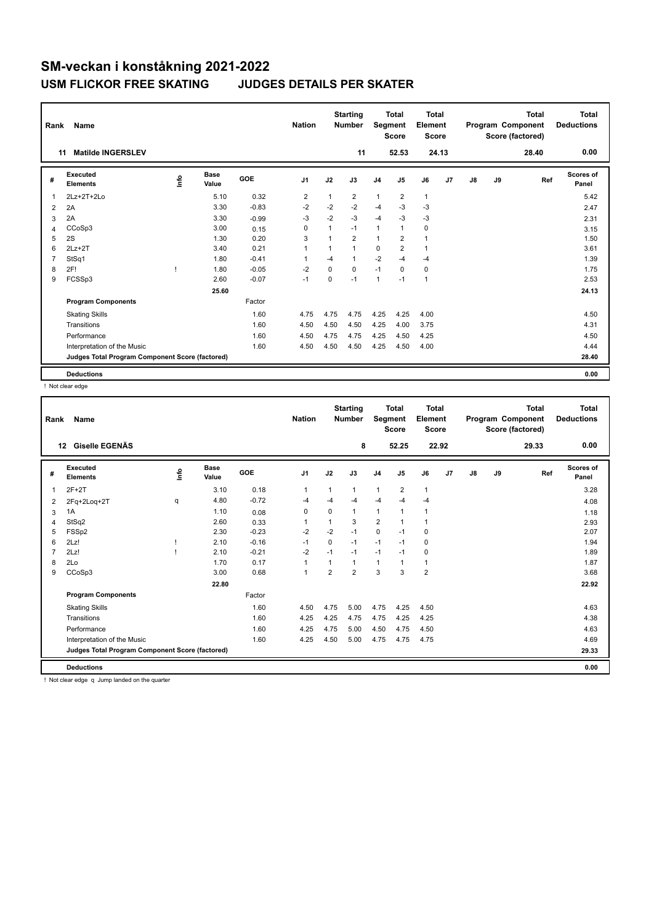| Rank           | Name                                            |      |               |         | <b>Nation</b>  |          | <b>Starting</b><br><b>Number</b> | Segment        | <b>Total</b><br><b>Score</b> | <b>Total</b><br>Element<br><b>Score</b> |                |    |    | <b>Total</b><br>Program Component<br>Score (factored) | <b>Total</b><br><b>Deductions</b> |
|----------------|-------------------------------------------------|------|---------------|---------|----------------|----------|----------------------------------|----------------|------------------------------|-----------------------------------------|----------------|----|----|-------------------------------------------------------|-----------------------------------|
|                | <b>Matilde INGERSLEV</b><br>11                  |      |               |         |                |          | 11                               |                | 52.53                        |                                         | 24.13          |    |    | 28.40                                                 | 0.00                              |
| #              | Executed<br><b>Elements</b>                     | ١nfo | Base<br>Value | GOE     | J <sub>1</sub> | J2       | J3                               | J <sub>4</sub> | J <sub>5</sub>               | J6                                      | J <sub>7</sub> | J8 | J9 | Ref                                                   | Scores of<br>Panel                |
| $\mathbf 1$    | 2Lz+2T+2Lo                                      |      | 5.10          | 0.32    | $\overline{2}$ | 1        | $\overline{2}$                   | $\overline{1}$ | $\overline{2}$               | 1                                       |                |    |    |                                                       | 5.42                              |
| 2              | 2A                                              |      | 3.30          | $-0.83$ | $-2$           | $-2$     | $-2$                             | $-4$           | $-3$                         | $-3$                                    |                |    |    |                                                       | 2.47                              |
| 3              | 2A                                              |      | 3.30          | $-0.99$ | $-3$           | $-2$     | $-3$                             | $-4$           | $-3$                         | $-3$                                    |                |    |    |                                                       | 2.31                              |
| 4              | CCoSp3                                          |      | 3.00          | 0.15    | 0              | 1        | $-1$                             | $\mathbf{1}$   | $\mathbf{1}$                 | 0                                       |                |    |    |                                                       | 3.15                              |
| 5              | 2S                                              |      | 1.30          | 0.20    | 3              | 1        | $\overline{2}$                   | $\mathbf{1}$   | $\overline{2}$               | $\mathbf{1}$                            |                |    |    |                                                       | 1.50                              |
| 6              | $2Lz+2T$                                        |      | 3.40          | 0.21    | $\overline{1}$ | 1        | 1                                | 0              | $\overline{2}$               | $\mathbf{1}$                            |                |    |    |                                                       | 3.61                              |
| $\overline{7}$ | StSq1                                           |      | 1.80          | $-0.41$ | 1              | $-4$     | 1                                | $-2$           | $-4$                         | $-4$                                    |                |    |    |                                                       | 1.39                              |
| 8              | 2F!                                             |      | 1.80          | $-0.05$ | $-2$           | $\Omega$ | 0                                | $-1$           | $\mathbf 0$                  | $\mathbf 0$                             |                |    |    |                                                       | 1.75                              |
| 9              | FCSSp3                                          |      | 2.60          | $-0.07$ | $-1$           | 0        | $-1$                             | $\mathbf{1}$   | $-1$                         | $\mathbf{1}$                            |                |    |    |                                                       | 2.53                              |
|                |                                                 |      | 25.60         |         |                |          |                                  |                |                              |                                         |                |    |    |                                                       | 24.13                             |
|                | <b>Program Components</b>                       |      |               | Factor  |                |          |                                  |                |                              |                                         |                |    |    |                                                       |                                   |
|                | <b>Skating Skills</b>                           |      |               | 1.60    | 4.75           | 4.75     | 4.75                             | 4.25           | 4.25                         | 4.00                                    |                |    |    |                                                       | 4.50                              |
|                | Transitions                                     |      |               | 1.60    | 4.50           | 4.50     | 4.50                             | 4.25           | 4.00                         | 3.75                                    |                |    |    |                                                       | 4.31                              |
|                | Performance                                     |      |               | 1.60    | 4.50           | 4.75     | 4.75                             | 4.25           | 4.50                         | 4.25                                    |                |    |    |                                                       | 4.50                              |
|                | Interpretation of the Music                     |      |               | 1.60    | 4.50           | 4.50     | 4.50                             | 4.25           | 4.50                         | 4.00                                    |                |    |    |                                                       | 4.44                              |
|                | Judges Total Program Component Score (factored) |      |               |         |                |          |                                  |                |                              |                                         |                |    |    |                                                       | 28.40                             |
|                | <b>Deductions</b>                               |      |               |         |                |          |                                  |                |                              |                                         |                |    |    |                                                       | 0.00                              |

! Not clear edge

| Rank | Name                                            |   |                      |         | <b>Nation</b>  |                | <b>Starting</b><br><b>Number</b> | Segment        | <b>Total</b><br><b>Score</b> | Total<br>Element<br><b>Score</b> |    |    |    | <b>Total</b><br>Program Component<br>Score (factored) | Total<br><b>Deductions</b> |
|------|-------------------------------------------------|---|----------------------|---------|----------------|----------------|----------------------------------|----------------|------------------------------|----------------------------------|----|----|----|-------------------------------------------------------|----------------------------|
| 12   | Giselle EGENÄS                                  |   |                      |         |                |                | 8                                |                | 52.25                        | 22.92                            |    |    |    | 29.33                                                 | 0.00                       |
| #    | Executed<br><b>Elements</b>                     | ۴ | <b>Base</b><br>Value | GOE     | J <sub>1</sub> | J2             | J3                               | J <sub>4</sub> | J5                           | J6                               | J7 | J8 | J9 | Ref                                                   | Scores of<br>Panel         |
| 1    | $2F+2T$                                         |   | 3.10                 | 0.18    | 1              | 1              | 1                                | 1              | $\overline{2}$               | $\mathbf{1}$                     |    |    |    |                                                       | 3.28                       |
| 2    | 2Fq+2Loq+2T                                     | q | 4.80                 | $-0.72$ | -4             | $-4$           | $-4$                             | $-4$           | $-4$                         | $-4$                             |    |    |    |                                                       | 4.08                       |
| 3    | 1A                                              |   | 1.10                 | 0.08    | 0              | $\Omega$       | 1                                | $\mathbf{1}$   |                              | 1                                |    |    |    |                                                       | 1.18                       |
| 4    | StSq2                                           |   | 2.60                 | 0.33    |                | 1              | 3                                | $\overline{2}$ |                              | 1                                |    |    |    |                                                       | 2.93                       |
| 5    | FSSp2                                           |   | 2.30                 | $-0.23$ | $-2$           | $-2$           | $-1$                             | $\mathbf 0$    | $-1$                         | 0                                |    |    |    |                                                       | 2.07                       |
| 6    | 2Lz!                                            |   | 2.10                 | $-0.16$ | $-1$           | $\mathbf 0$    | $-1$                             | $-1$           | $-1$                         | 0                                |    |    |    |                                                       | 1.94                       |
|      | 2Lz!                                            |   | 2.10                 | $-0.21$ | $-2$           | $-1$           | $-1$                             | $-1$           | $-1$                         | $\Omega$                         |    |    |    |                                                       | 1.89                       |
| 8    | 2Lo                                             |   | 1.70                 | 0.17    | $\overline{1}$ | 1              | 1                                | 1              |                              | $\mathbf{1}$                     |    |    |    |                                                       | 1.87                       |
| 9    | CCoSp3                                          |   | 3.00                 | 0.68    | $\mathbf{1}$   | $\overline{2}$ | $\overline{2}$                   | 3              | 3                            | $\overline{2}$                   |    |    |    |                                                       | 3.68                       |
|      |                                                 |   | 22.80                |         |                |                |                                  |                |                              |                                  |    |    |    |                                                       | 22.92                      |
|      | <b>Program Components</b>                       |   |                      | Factor  |                |                |                                  |                |                              |                                  |    |    |    |                                                       |                            |
|      | <b>Skating Skills</b>                           |   |                      | 1.60    | 4.50           | 4.75           | 5.00                             | 4.75           | 4.25                         | 4.50                             |    |    |    |                                                       | 4.63                       |
|      | Transitions                                     |   |                      | 1.60    | 4.25           | 4.25           | 4.75                             | 4.75           | 4.25                         | 4.25                             |    |    |    |                                                       | 4.38                       |
|      | Performance                                     |   |                      | 1.60    | 4.25           | 4.75           | 5.00                             | 4.50           | 4.75                         | 4.50                             |    |    |    |                                                       | 4.63                       |
|      | Interpretation of the Music                     |   |                      | 1.60    | 4.25           | 4.50           | 5.00                             | 4.75           | 4.75                         | 4.75                             |    |    |    |                                                       | 4.69                       |
|      | Judges Total Program Component Score (factored) |   |                      |         |                |                |                                  |                |                              |                                  |    |    |    |                                                       | 29.33                      |
|      | <b>Deductions</b>                               |   |                      |         |                |                |                                  |                |                              |                                  |    |    |    |                                                       | 0.00                       |

! Not clear edge q Jump landed on the quarter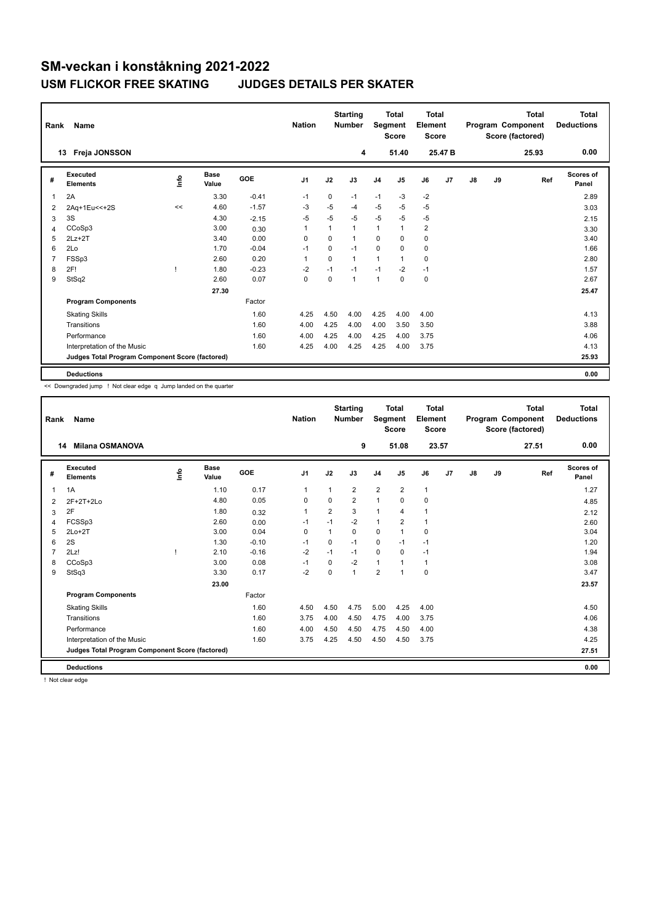| Rank           | Name                                            |             |               |            | <b>Nation</b>  |          | <b>Starting</b><br><b>Number</b> | Segment        | <b>Total</b><br><b>Score</b> | <b>Total</b><br>Element<br>Score |                    |    |    | <b>Total</b><br>Program Component<br>Score (factored) | <b>Total</b><br><b>Deductions</b> |
|----------------|-------------------------------------------------|-------------|---------------|------------|----------------|----------|----------------------------------|----------------|------------------------------|----------------------------------|--------------------|----|----|-------------------------------------------------------|-----------------------------------|
|                | Freja JONSSON<br>13                             |             |               |            |                |          | 4                                |                | 51.40                        |                                  | 25.47 <sub>B</sub> |    |    | 25.93                                                 | 0.00                              |
| #              | Executed<br><b>Elements</b>                     | <u>info</u> | Base<br>Value | <b>GOE</b> | J <sub>1</sub> | J2       | J3                               | J <sub>4</sub> | J5                           | J6                               | J <sub>7</sub>     | J8 | J9 | Ref                                                   | Scores of<br>Panel                |
| $\overline{1}$ | 2A                                              |             | 3.30          | $-0.41$    | $-1$           | $\Omega$ | $-1$                             | $-1$           | $-3$                         | $-2$                             |                    |    |    |                                                       | 2.89                              |
| 2              | 2Aq+1Eu<<+2S                                    | <<          | 4.60          | $-1.57$    | $-3$           | $-5$     | $-4$                             | $-5$           | $-5$                         | $-5$                             |                    |    |    |                                                       | 3.03                              |
| 3              | 3S                                              |             | 4.30          | $-2.15$    | $-5$           | $-5$     | $-5$                             | $-5$           | $-5$                         | $-5$                             |                    |    |    |                                                       | 2.15                              |
| $\overline{4}$ | CCoSp3                                          |             | 3.00          | 0.30       | 1              | 1        | 1                                | $\mathbf{1}$   | $\mathbf{1}$                 | $\overline{\mathbf{c}}$          |                    |    |    |                                                       | 3.30                              |
| 5              | $2Lz+2T$                                        |             | 3.40          | 0.00       | $\Omega$       | $\Omega$ | 1                                | $\Omega$       | $\Omega$                     | 0                                |                    |    |    |                                                       | 3.40                              |
| 6              | 2Lo                                             |             | 1.70          | $-0.04$    | $-1$           | 0        | $-1$                             | 0              | $\Omega$                     | 0                                |                    |    |    |                                                       | 1.66                              |
| $\overline{7}$ | FSSp3                                           |             | 2.60          | 0.20       | $\mathbf{1}$   | $\Omega$ | 1                                | $\mathbf{1}$   | 1                            | $\mathbf 0$                      |                    |    |    |                                                       | 2.80                              |
| 8              | 2F!                                             |             | 1.80          | $-0.23$    | $-2$           | $-1$     | $-1$                             | $-1$           | $-2$                         | $-1$                             |                    |    |    |                                                       | 1.57                              |
| 9              | StSq2                                           |             | 2.60          | 0.07       | 0              | 0        | 1                                | $\mathbf{1}$   | 0                            | 0                                |                    |    |    |                                                       | 2.67                              |
|                |                                                 |             | 27.30         |            |                |          |                                  |                |                              |                                  |                    |    |    |                                                       | 25.47                             |
|                | <b>Program Components</b>                       |             |               | Factor     |                |          |                                  |                |                              |                                  |                    |    |    |                                                       |                                   |
|                | <b>Skating Skills</b>                           |             |               | 1.60       | 4.25           | 4.50     | 4.00                             | 4.25           | 4.00                         | 4.00                             |                    |    |    |                                                       | 4.13                              |
|                | Transitions                                     |             |               | 1.60       | 4.00           | 4.25     | 4.00                             | 4.00           | 3.50                         | 3.50                             |                    |    |    |                                                       | 3.88                              |
|                | Performance                                     |             |               | 1.60       | 4.00           | 4.25     | 4.00                             | 4.25           | 4.00                         | 3.75                             |                    |    |    |                                                       | 4.06                              |
|                | Interpretation of the Music                     |             |               | 1.60       | 4.25           | 4.00     | 4.25                             | 4.25           | 4.00                         | 3.75                             |                    |    |    |                                                       | 4.13                              |
|                | Judges Total Program Component Score (factored) |             |               |            |                |          |                                  |                |                              |                                  |                    |    |    |                                                       | 25.93                             |
|                | <b>Deductions</b>                               |             |               |            |                |          |                                  |                |                              |                                  |                    |    |    |                                                       | 0.00                              |

<< Downgraded jump ! Not clear edge q Jump landed on the quarter

| Rank | <b>Name</b>                                     |   |               |         | <b>Nation</b>  |                | <b>Starting</b><br><b>Number</b> | Segment        | <b>Total</b><br><b>Score</b> | <b>Total</b><br>Element<br><b>Score</b> |    |    |    | <b>Total</b><br>Program Component<br>Score (factored) | <b>Total</b><br><b>Deductions</b> |
|------|-------------------------------------------------|---|---------------|---------|----------------|----------------|----------------------------------|----------------|------------------------------|-----------------------------------------|----|----|----|-------------------------------------------------------|-----------------------------------|
|      | Milana OSMANOVA<br>14                           |   |               |         |                |                | 9                                |                | 51.08                        | 23.57                                   |    |    |    | 27.51                                                 | 0.00                              |
| #    | Executed<br><b>Elements</b>                     | ۴ | Base<br>Value | GOE     | J <sub>1</sub> | J2             | J3                               | J <sub>4</sub> | J5                           | J6                                      | J7 | J8 | J9 | Ref                                                   | Scores of<br>Panel                |
| 1    | 1A                                              |   | 1.10          | 0.17    | $\mathbf{1}$   | $\mathbf{1}$   | $\overline{2}$                   | $\overline{2}$ | $\overline{2}$               | $\mathbf{1}$                            |    |    |    |                                                       | 1.27                              |
| 2    | 2F+2T+2Lo                                       |   | 4.80          | 0.05    | $\Omega$       | $\Omega$       | $\overline{2}$                   | $\overline{1}$ | $\Omega$                     | 0                                       |    |    |    |                                                       | 4.85                              |
| 3    | 2F                                              |   | 1.80          | 0.32    | 1              | $\overline{2}$ | 3                                | $\overline{1}$ | 4                            | $\mathbf{1}$                            |    |    |    |                                                       | 2.12                              |
| 4    | FCSSp3                                          |   | 2.60          | 0.00    | $-1$           | $-1$           | $-2$                             | $\mathbf{1}$   | 2                            | $\mathbf{1}$                            |    |    |    |                                                       | 2.60                              |
| 5    | $2Lo+2T$                                        |   | 3.00          | 0.04    | $\mathbf 0$    | 1              | $\mathbf 0$                      | $\mathbf 0$    | 1                            | 0                                       |    |    |    |                                                       | 3.04                              |
| 6    | 2S                                              |   | 1.30          | $-0.10$ | $-1$           | $\Omega$       | $-1$                             | $\mathbf 0$    | $-1$                         | $-1$                                    |    |    |    |                                                       | 1.20                              |
|      | 2Lz!                                            |   | 2.10          | $-0.16$ | $-2$           | $-1$           | $-1$                             | 0              | 0                            | $-1$                                    |    |    |    |                                                       | 1.94                              |
| 8    | CCoSp3                                          |   | 3.00          | 0.08    | $-1$           | $\Omega$       | $-2$                             | $\mathbf{1}$   |                              | $\mathbf{1}$                            |    |    |    |                                                       | 3.08                              |
| 9    | StSq3                                           |   | 3.30          | 0.17    | $-2$           | 0              | 1                                | $\overline{2}$ |                              | $\mathbf 0$                             |    |    |    |                                                       | 3.47                              |
|      |                                                 |   | 23.00         |         |                |                |                                  |                |                              |                                         |    |    |    |                                                       | 23.57                             |
|      | <b>Program Components</b>                       |   |               | Factor  |                |                |                                  |                |                              |                                         |    |    |    |                                                       |                                   |
|      | <b>Skating Skills</b>                           |   |               | 1.60    | 4.50           | 4.50           | 4.75                             | 5.00           | 4.25                         | 4.00                                    |    |    |    |                                                       | 4.50                              |
|      | Transitions                                     |   |               | 1.60    | 3.75           | 4.00           | 4.50                             | 4.75           | 4.00                         | 3.75                                    |    |    |    |                                                       | 4.06                              |
|      | Performance                                     |   |               | 1.60    | 4.00           | 4.50           | 4.50                             | 4.75           | 4.50                         | 4.00                                    |    |    |    |                                                       | 4.38                              |
|      | Interpretation of the Music                     |   |               | 1.60    | 3.75           | 4.25           | 4.50                             | 4.50           | 4.50                         | 3.75                                    |    |    |    |                                                       | 4.25                              |
|      | Judges Total Program Component Score (factored) |   |               |         |                |                |                                  |                |                              |                                         |    |    |    |                                                       | 27.51                             |
|      | <b>Deductions</b>                               |   |               |         |                |                |                                  |                |                              |                                         |    |    |    |                                                       | 0.00                              |

! Not clear edge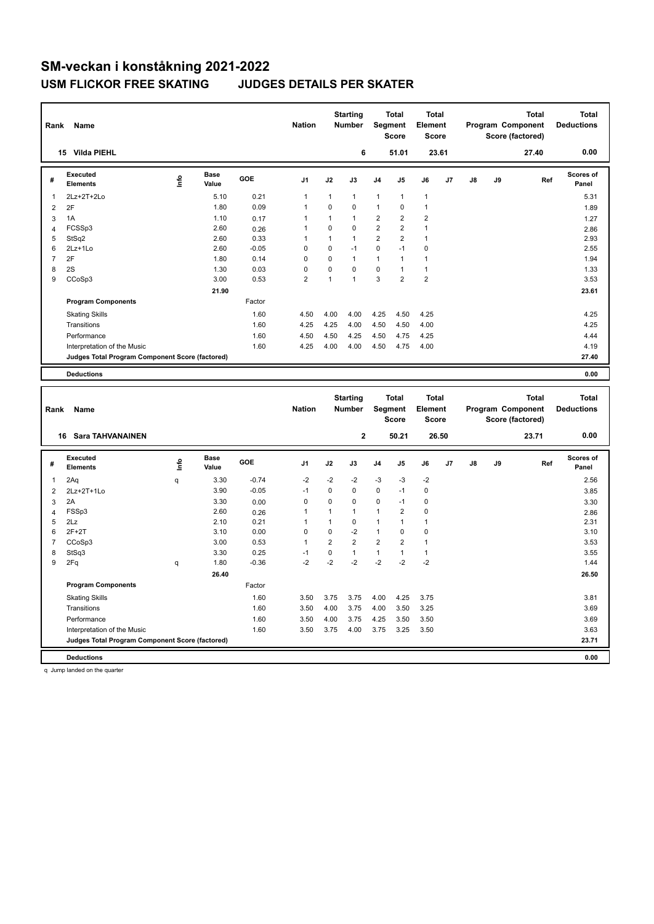| Rank                    | Name                                            |      |                      |                 | <b>Nation</b>               |                     | <b>Starting</b><br><b>Number</b> |                                | Total<br>Segment<br><b>Score</b>        | Total<br>Element<br><b>Score</b> |       |    |    | Program Component<br>Score (factored) | <b>Total</b> | <b>Total</b><br><b>Deductions</b> |
|-------------------------|-------------------------------------------------|------|----------------------|-----------------|-----------------------------|---------------------|----------------------------------|--------------------------------|-----------------------------------------|----------------------------------|-------|----|----|---------------------------------------|--------------|-----------------------------------|
|                         | 15 Vilda PIEHL                                  |      |                      |                 |                             |                     | 6                                |                                | 51.01                                   |                                  | 23.61 |    |    | 27.40                                 |              | 0.00                              |
| #                       | <b>Executed</b><br><b>Elements</b>              | lnfo | <b>Base</b><br>Value | GOE             | J <sub>1</sub>              | J2                  | J3                               | J4                             | J5                                      | J6                               | J7    | J8 | J9 |                                       | Ref          | <b>Scores of</b><br>Panel         |
| 1                       | 2Lz+2T+2Lo                                      |      | 5.10                 | 0.21            | $\mathbf{1}$                | $\mathbf{1}$        | $\mathbf{1}$                     | $\mathbf{1}$                   | 1                                       | $\mathbf{1}$                     |       |    |    |                                       |              | 5.31                              |
| $\mathbf 2$             | 2F                                              |      | 1.80                 | 0.09            | 1                           | 0                   | $\mathbf 0$                      | 1                              | 0                                       | $\overline{1}$                   |       |    |    |                                       |              | 1.89                              |
| 3                       | 1A                                              |      | 1.10                 | 0.17            | 1                           | $\mathbf{1}$        | $\overline{1}$                   | $\overline{2}$                 | $\overline{2}$                          | $\overline{2}$                   |       |    |    |                                       |              | 1.27                              |
| 4                       | FCSSp3                                          |      | 2.60                 | 0.26            | 1                           | 0                   | $\mathbf 0$                      | $\overline{2}$                 | $\overline{2}$                          | $\mathbf{1}$                     |       |    |    |                                       |              | 2.86                              |
| 5                       | StSq2                                           |      | 2.60                 | 0.33            | 1                           | $\mathbf{1}$        | $\mathbf{1}$                     | $\overline{2}$                 | $\overline{\mathbf{c}}$                 | $\mathbf{1}$                     |       |    |    |                                       |              | 2.93                              |
| 6                       | $2Lz+1Lo$                                       |      | 2.60                 | $-0.05$         | 0                           | 0                   | $-1$                             | 0                              | $-1$                                    | $\mathbf 0$                      |       |    |    |                                       |              | 2.55                              |
| $\overline{7}$          | 2F                                              |      | 1.80                 | 0.14            | 0                           | 0                   | $\mathbf{1}$                     | $\mathbf{1}$                   | 1                                       | $\mathbf{1}$                     |       |    |    |                                       |              | 1.94                              |
| 8                       | 2S                                              |      | 1.30                 | 0.03            | $\mathbf 0$                 | 0                   | $\mathbf 0$                      | $\mathbf 0$                    | $\mathbf{1}$                            | $\mathbf{1}$                     |       |    |    |                                       |              | 1.33                              |
| 9                       | CCoSp3                                          |      | 3.00                 | 0.53            | $\overline{2}$              | $\mathbf{1}$        | $\overline{1}$                   | 3                              | $\overline{2}$                          | $\overline{2}$                   |       |    |    |                                       |              | 3.53                              |
|                         |                                                 |      | 21.90                |                 |                             |                     |                                  |                                |                                         |                                  |       |    |    |                                       |              | 23.61                             |
|                         | <b>Program Components</b>                       |      |                      | Factor          |                             |                     |                                  |                                |                                         |                                  |       |    |    |                                       |              |                                   |
|                         | <b>Skating Skills</b>                           |      |                      | 1.60            | 4.50                        | 4.00                | 4.00                             | 4.25                           | 4.50                                    | 4.25                             |       |    |    |                                       |              | 4.25                              |
|                         | Transitions                                     |      |                      | 1.60            | 4.25                        | 4.25                | 4.00                             | 4.50                           | 4.50                                    | 4.00                             |       |    |    |                                       |              | 4.25                              |
|                         | Performance                                     |      |                      | 1.60            | 4.50                        | 4.50                | 4.25                             | 4.50                           | 4.75                                    | 4.25                             |       |    |    |                                       |              | 4.44                              |
|                         | Interpretation of the Music                     |      |                      | 1.60            | 4.25                        | 4.00                | 4.00                             | 4.50                           | 4.75                                    | 4.00                             |       |    |    |                                       |              | 4.19                              |
|                         | Judges Total Program Component Score (factored) |      |                      |                 |                             |                     |                                  |                                |                                         |                                  |       |    |    |                                       |              | 27.40                             |
|                         |                                                 |      |                      |                 |                             |                     |                                  |                                |                                         |                                  |       |    |    |                                       |              |                                   |
|                         | <b>Deductions</b>                               |      |                      |                 |                             |                     |                                  |                                |                                         |                                  |       |    |    |                                       |              | 0.00                              |
|                         |                                                 |      |                      |                 |                             |                     |                                  |                                |                                         |                                  |       |    |    |                                       |              |                                   |
|                         |                                                 |      |                      |                 |                             |                     |                                  |                                |                                         |                                  |       |    |    |                                       |              |                                   |
|                         |                                                 |      |                      |                 |                             |                     | <b>Starting</b>                  |                                | <b>Total</b>                            | <b>Total</b>                     |       |    |    |                                       | <b>Total</b> | <b>Total</b>                      |
| Rank                    | Name                                            |      |                      |                 | <b>Nation</b>               |                     | Number                           |                                | Segment                                 | Element                          |       |    |    | Program Component                     |              | <b>Deductions</b>                 |
|                         |                                                 |      |                      |                 |                             |                     |                                  |                                | <b>Score</b>                            | <b>Score</b>                     |       |    |    | Score (factored)                      |              |                                   |
|                         | <b>16 Sara TAHVANAINEN</b>                      |      |                      |                 |                             |                     | $\overline{2}$                   |                                | 50.21                                   |                                  | 26.50 |    |    | 23.71                                 |              | 0.00                              |
|                         |                                                 |      |                      |                 |                             |                     |                                  |                                |                                         |                                  |       |    |    |                                       |              | Scores of                         |
| #                       | <b>Executed</b><br><b>Elements</b>              | ١m   | <b>Base</b><br>Value | GOE             | J <sub>1</sub>              | J2                  | J3                               | J4                             | J <sub>5</sub>                          | J6                               | J7    | J8 | J9 |                                       | Ref          | Panel                             |
| 1                       |                                                 | q    | 3.30                 | $-0.74$         | $-2$                        | $-2$                | $-2$                             | $-3$                           | $-3$                                    | $-2$                             |       |    |    |                                       |              | 2.56                              |
|                         | 2Aq                                             |      | 3.90                 | $-0.05$         | $-1$                        | 0                   | $\mathbf 0$                      | $\mathbf 0$                    | $-1$                                    | $\pmb{0}$                        |       |    |    |                                       |              |                                   |
| $\overline{\mathbf{c}}$ | 2Lz+2T+1Lo                                      |      |                      |                 |                             |                     |                                  |                                |                                         |                                  |       |    |    |                                       |              | 3.85                              |
| 3                       | 2A                                              |      | 3.30                 | 0.00            | $\mathsf 0$                 | 0                   | $\pmb{0}$                        | $\mathsf 0$                    | $-1$                                    | $\pmb{0}$                        |       |    |    |                                       |              | 3.30                              |
| $\overline{\mathbf{4}}$ | FSSp3                                           |      | 2.60                 | 0.26            | 1<br>$\mathbf{1}$           | 1<br>$\mathbf{1}$   | $\overline{1}$<br>$\mathbf 0$    | 1                              | $\overline{\mathbf{c}}$<br>$\mathbf{1}$ | 0                                |       |    |    |                                       |              | 2.86                              |
| 5                       | 2Lz                                             |      | 2.10                 | 0.21            |                             |                     |                                  | $\mathbf{1}$                   |                                         | $\mathbf{1}$                     |       |    |    |                                       |              | 2.31                              |
| 6<br>$\overline{7}$     | $2F+2T$                                         |      | 3.10                 | 0.00            | $\mathsf 0$<br>$\mathbf{1}$ | 0<br>$\overline{2}$ | $-2$<br>$\overline{2}$           | $\mathbf{1}$<br>$\overline{2}$ | 0<br>$\overline{2}$                     | $\pmb{0}$<br>$\mathbf{1}$        |       |    |    |                                       |              | 3.10                              |
|                         | CCoSp3                                          |      | 3.00                 | 0.53            |                             |                     |                                  |                                |                                         |                                  |       |    |    |                                       |              | 3.53                              |
| 8<br>9                  | StSq3                                           |      | 3.30<br>1.80         | 0.25<br>$-0.36$ | $-1$<br>$-2$                | 0<br>$-2$           | $\mathbf{1}$<br>$-2$             | $\mathbf{1}$<br>$-2$           | $\mathbf{1}$<br>$-2$                    | $\mathbf{1}$<br>$-2$             |       |    |    |                                       |              | 3.55<br>1.44                      |
|                         | 2Fq                                             | q    | 26.40                |                 |                             |                     |                                  |                                |                                         |                                  |       |    |    |                                       |              | 26.50                             |
|                         |                                                 |      |                      |                 |                             |                     |                                  |                                |                                         |                                  |       |    |    |                                       |              |                                   |
|                         | <b>Program Components</b>                       |      |                      | Factor          |                             |                     |                                  |                                |                                         |                                  |       |    |    |                                       |              |                                   |
|                         | <b>Skating Skills</b>                           |      |                      | 1.60            | 3.50                        | 3.75                | 3.75                             | 4.00                           | 4.25                                    | 3.75                             |       |    |    |                                       |              | 3.81                              |
|                         | Transitions                                     |      |                      | 1.60            | 3.50                        | 4.00                | 3.75                             | 4.00                           | 3.50                                    | 3.25                             |       |    |    |                                       |              | 3.69                              |
|                         | Performance                                     |      |                      | 1.60            | 3.50                        | 4.00                | 3.75                             | 4.25                           | 3.50                                    | 3.50                             |       |    |    |                                       |              | 3.69                              |
|                         | Interpretation of the Music                     |      |                      | 1.60            | 3.50                        | 3.75                | 4.00                             | 3.75                           | 3.25                                    | 3.50                             |       |    |    |                                       |              | 3.63                              |
|                         | Judges Total Program Component Score (factored) |      |                      |                 |                             |                     |                                  |                                |                                         |                                  |       |    |    |                                       |              | 23.71                             |

q Jump landed on the quarter